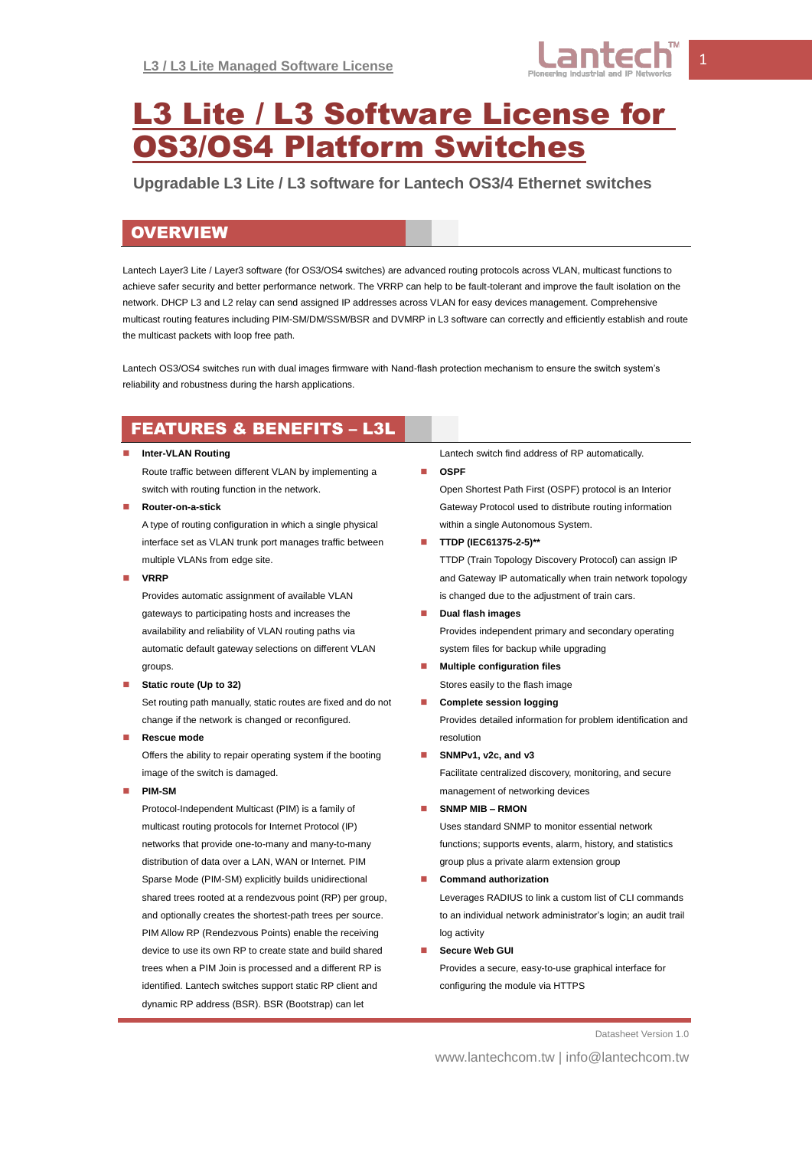

# L3 Lite / L3 Software License for OS3/OS4 Platform Switches

**Upgradable L3 Lite / L3 software for Lantech OS3/4 Ethernet switches**

## **OVERVIEW**

Lantech Layer3 Lite / Layer3 software (for OS3/OS4 switches) are advanced routing protocols across VLAN, multicast functions to achieve safer security and better performance network. The VRRP can help to be fault-tolerant and improve the fault isolation on the network. DHCP L3 and L2 relay can send assigned IP addresses across VLAN for easy devices management. Comprehensive multicast routing features including PIM-SM/DM/SSM/BSR and DVMRP in L3 software can correctly and efficiently establish and route the multicast packets with loop free path.

Lantech OS3/OS4 switches run with dual images firmware with Nand-flash protection mechanism to ensure the switch system's reliability and robustness during the harsh applications.

# FEATURES & BENEFITS – L3L

#### **Inter-VLAN Routing**

Route traffic between different VLAN by implementing a switch with routing function in the network.

**Router-on-a-stick**

A type of routing configuration in which a single physical interface set as VLAN trunk port manages traffic between multiple VLANs from edge site.

**VRRP**

Provides automatic assignment of available VLAN gateways to participating hosts and increases the availability and reliability of VLAN routing paths via automatic default gateway selections on different VLAN groups.

#### **Static route (Up to 32)**

Set routing path manually, static routes are fixed and do not change if the network is changed or reconfigured.

**Rescue mode**

Offers the ability to repair operating system if the booting image of the switch is damaged.

**PIM-SM**

Protocol-Independent Multicast (PIM) is a family of multicast routing protocols for Internet Protocol (IP) networks that provide one-to-many and many-to-many distribution of data over a LAN, WAN or Internet. PIM Sparse Mode (PIM-SM) explicitly builds unidirectional shared trees rooted at a rendezvous point (RP) per group, and optionally creates the shortest-path trees per source. PIM Allow RP (Rendezvous Points) enable the receiving device to use its own RP to create state and build shared trees when a PIM Join is processed and a different RP is identified. Lantech switches support static RP client and dynamic RP address (BSR). BSR (Bootstrap) can let

Lantech switch find address of RP automatically.

#### **OSPF**

Open Shortest Path First (OSPF) protocol is an Interior Gateway Protocol used to distribute routing information within a single Autonomous System.

**TTDP (IEC61375-2-5)\*\***

TTDP (Train Topology Discovery Protocol) can assign IP and Gateway IP automatically when train network topology is changed due to the adjustment of train cars.

- **Dual flash images** Provides independent primary and secondary operating system files for backup while upgrading
- **Multiple configuration files** Stores easily to the flash image
- **Complete session logging**

Provides detailed information for problem identification and resolution

- **SNMPv1, v2c, and v3** Facilitate centralized discovery, monitoring, and secure management of networking devices
- **SNMP MIB – RMON**

Uses standard SNMP to monitor essential network functions; supports events, alarm, history, and statistics group plus a private alarm extension group

**Command authorization**

Leverages RADIUS to link a custom list of CLI commands to an individual network administrator's login; an audit trail log activity

**Secure Web GUI**

Provides a secure, easy-to-use graphical interface for configuring the module via HTTPS

Datasheet Version 1.0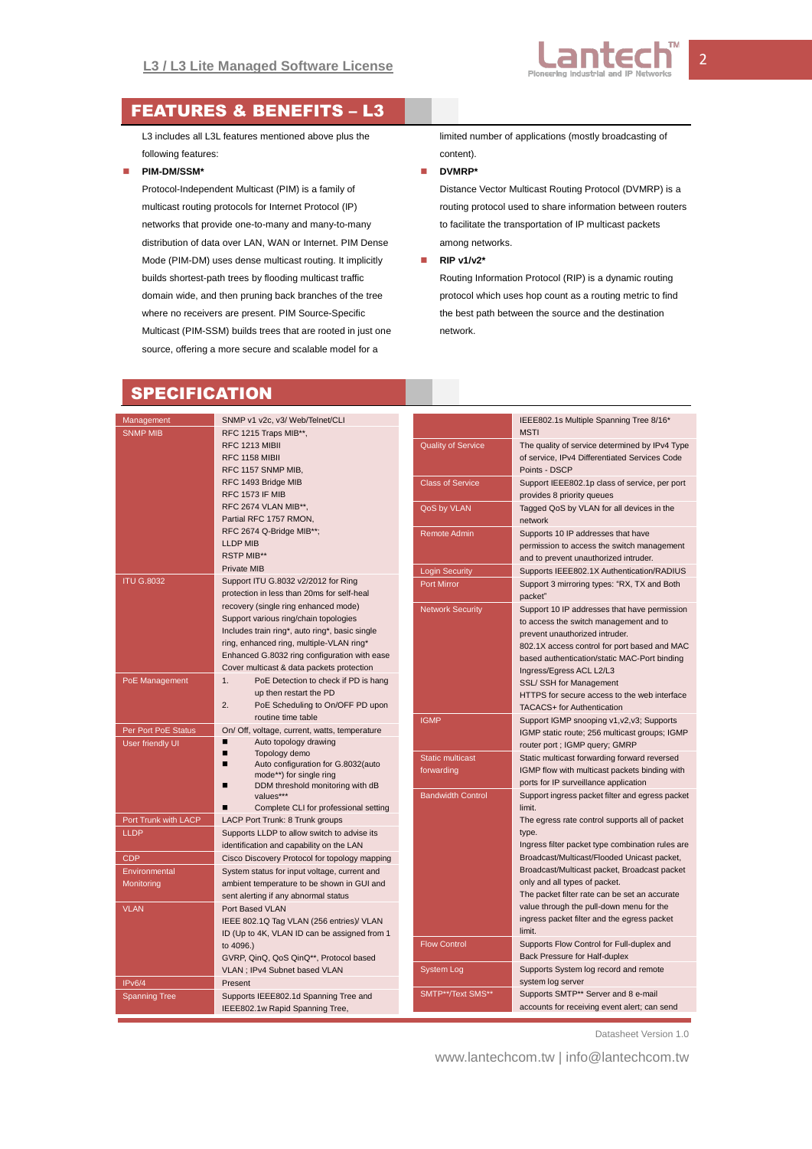

## FEATURES & BENEFITS – L3

L3 includes all L3L features mentioned above plus the following features:

#### **PIM-DM/SSM\***

Protocol-Independent Multicast (PIM) is a family of multicast routing protocols for Internet Protocol (IP) networks that provide one-to-many and many-to-many distribution of data over LAN, WAN or Internet. PIM Dense Mode (PIM-DM) uses dense multicast routing. It implicitly builds shortest-path trees by flooding multicast traffic domain wide, and then pruning back branches of the tree where no receivers are present. PIM Source-Specific Multicast (PIM-SSM) builds trees that are rooted in just one source, offering a more secure and scalable model for a

limited number of applications (mostly broadcasting of content).

#### **DVMRP\***

Distance Vector Multicast Routing Protocol (DVMRP) is a routing protocol used to share information between routers to facilitate the transportation of IP multicast packets among networks.

#### **RIP v1/v2\***

Routing Information Protocol (RIP) is a dynamic routing protocol which uses hop count as a routing metric to find the best path between the source and the destination network.

### **SPECIFICATION**

| Management<br><b>SNMP MIB</b> | SNMP v1 v2c, v3/ Web/Telnet/CLI<br>RFC 1215 Traps MIB**, |                           | IEEE802.1s Multiple Spanning Tree 8/16*<br><b>MSTI</b> |  |  |  |
|-------------------------------|----------------------------------------------------------|---------------------------|--------------------------------------------------------|--|--|--|
|                               | RFC 1213 MIBII                                           |                           |                                                        |  |  |  |
|                               |                                                          | <b>Quality of Service</b> | The quality of service determined by IPv4 Type         |  |  |  |
|                               | <b>RFC 1158 MIBII</b>                                    |                           | of service, IPv4 Differentiated Services Code          |  |  |  |
|                               | RFC 1157 SNMP MIB,                                       |                           | Points - DSCP                                          |  |  |  |
|                               | RFC 1493 Bridge MIB                                      | <b>Class of Service</b>   | Support IEEE802.1p class of service, per port          |  |  |  |
|                               | <b>RFC 1573 IF MIB</b>                                   |                           | provides 8 priority queues                             |  |  |  |
|                               | RFC 2674 VLAN MIB**,<br>Partial RFC 1757 RMON,           | QoS by VLAN               | Tagged QoS by VLAN for all devices in the              |  |  |  |
|                               |                                                          |                           | network                                                |  |  |  |
|                               | RFC 2674 Q-Bridge MIB**;                                 | <b>Remote Admin</b>       | Supports 10 IP addresses that have                     |  |  |  |
|                               | <b>LLDP MIB</b>                                          |                           | permission to access the switch management             |  |  |  |
|                               | <b>RSTP MIB**</b>                                        |                           | and to prevent unauthorized intruder.                  |  |  |  |
|                               | Private MIB                                              | <b>Login Security</b>     | Supports IEEE802.1X Authentication/RADIUS              |  |  |  |
| <b>ITU G.8032</b>             | Support ITU G.8032 v2/2012 for Ring                      | <b>Port Mirror</b>        | Support 3 mirroring types: "RX, TX and Both            |  |  |  |
|                               | protection in less than 20ms for self-heal               |                           | packet"                                                |  |  |  |
|                               | recovery (single ring enhanced mode)                     | <b>Network Security</b>   | Support 10 IP addresses that have permission           |  |  |  |
|                               | Support various ring/chain topologies                    |                           | to access the switch management and to                 |  |  |  |
|                               | Includes train ring*, auto ring*, basic single           |                           | prevent unauthorized intruder.                         |  |  |  |
|                               | ring, enhanced ring, multiple-VLAN ring*                 |                           | 802.1X access control for port based and MAC           |  |  |  |
|                               | Enhanced G.8032 ring configuration with ease             |                           | based authentication/static MAC-Port binding           |  |  |  |
|                               | Cover multicast & data packets protection                |                           | Ingress/Egress ACL L2/L3                               |  |  |  |
| PoE Management                | 1.<br>PoE Detection to check if PD is hang               |                           | SSL/ SSH for Management                                |  |  |  |
|                               | up then restart the PD                                   |                           | HTTPS for secure access to the web interface           |  |  |  |
|                               | 2.<br>PoE Scheduling to On/OFF PD upon                   |                           | TACACS+ for Authentication                             |  |  |  |
|                               | routine time table                                       | <b>IGMP</b>               | Support IGMP snooping v1, v2, v3; Supports             |  |  |  |
| Per Port PoE Status           | On/ Off, voltage, current, watts, temperature            |                           | IGMP static route; 256 multicast groups; IGMP          |  |  |  |
| User friendly UI              | п<br>Auto topology drawing                               |                           | router port ; IGMP query; GMRP                         |  |  |  |
|                               | Topology demo<br>п                                       | <b>Static multicast</b>   |                                                        |  |  |  |
|                               | Auto configuration for G.8032(auto<br>п                  |                           | Static multicast forwarding forward reversed           |  |  |  |
|                               | mode**) for single ring                                  | forwarding                | IGMP flow with multicast packets binding with          |  |  |  |
|                               | DDM threshold monitoring with dB<br>п                    |                           | ports for IP surveillance application                  |  |  |  |
|                               | values***                                                | <b>Bandwidth Control</b>  | Support ingress packet filter and egress packet        |  |  |  |
|                               | Complete CLI for professional setting<br>п               |                           | limit.                                                 |  |  |  |
| Port Trunk with LACP          | LACP Port Trunk: 8 Trunk groups                          |                           | The egress rate control supports all of packet         |  |  |  |
| <b>LLDP</b>                   | Supports LLDP to allow switch to advise its              |                           | type.                                                  |  |  |  |
|                               | identification and capability on the LAN                 |                           | Ingress filter packet type combination rules are       |  |  |  |
| <b>CDP</b>                    | Cisco Discovery Protocol for topology mapping            |                           | Broadcast/Multicast/Flooded Unicast packet,            |  |  |  |
| Environmental                 | System status for input voltage, current and             |                           | Broadcast/Multicast packet, Broadcast packet           |  |  |  |
| Monitoring                    | ambient temperature to be shown in GUI and               |                           | only and all types of packet.                          |  |  |  |
|                               | sent alerting if any abnormal status                     |                           | The packet filter rate can be set an accurate          |  |  |  |
| <b>VLAN</b>                   | Port Based VLAN                                          |                           | value through the pull-down menu for the               |  |  |  |
|                               | IEEE 802.1Q Tag VLAN (256 entries)/ VLAN                 |                           | ingress packet filter and the egress packet            |  |  |  |
|                               | ID (Up to 4K, VLAN ID can be assigned from 1             |                           | limit.                                                 |  |  |  |
|                               | to 4096.)                                                | <b>Flow Control</b>       | Supports Flow Control for Full-duplex and              |  |  |  |
|                               | GVRP, QinQ, QoS QinQ**, Protocol based                   |                           | Back Pressure for Half-duplex                          |  |  |  |
|                               | VLAN ; IPv4 Subnet based VLAN                            | System Log                | Supports System log record and remote                  |  |  |  |
| IPv6/4                        | Present                                                  |                           | system log server                                      |  |  |  |
| <b>Spanning Tree</b>          | Supports IEEE802.1d Spanning Tree and                    | SMTP**/Text SMS**         | Supports SMTP** Server and 8 e-mail                    |  |  |  |
|                               | IEEE802.1w Rapid Spanning Tree,                          |                           | accounts for receiving event alert; can send           |  |  |  |
|                               |                                                          |                           |                                                        |  |  |  |

Datasheet Version 1.0

www.lantechcom.tw | info@lantechcom.tw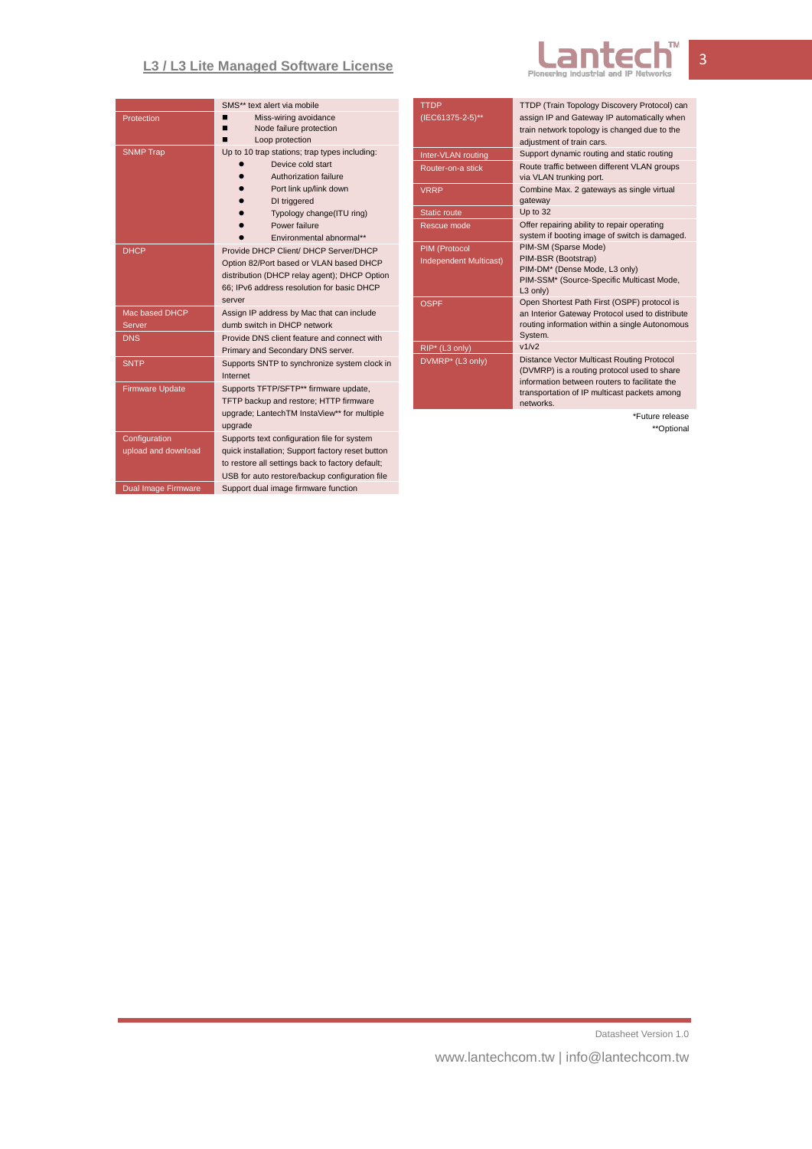## **L3 / L3 Lite Managed Software License**



|                        | SMS** text alert via mobile                                                      |  |  |
|------------------------|----------------------------------------------------------------------------------|--|--|
| Protection             | Miss-wiring avoidance                                                            |  |  |
|                        | Node failure protection                                                          |  |  |
|                        | Loop protection                                                                  |  |  |
| <b>SNMP Trap</b>       | Up to 10 trap stations; trap types including:                                    |  |  |
|                        | Device cold start                                                                |  |  |
|                        | Authorization failure                                                            |  |  |
|                        | Port link up/link down                                                           |  |  |
|                        | DI triggered                                                                     |  |  |
|                        | Typology change(ITU ring)                                                        |  |  |
|                        | Power failure                                                                    |  |  |
|                        | Fnvironmental abnormal**                                                         |  |  |
| <b>DHCP</b>            | Provide DHCP Client/ DHCP Server/DHCP<br>Option 82/Port based or VLAN based DHCP |  |  |
|                        |                                                                                  |  |  |
|                        | distribution (DHCP relay agent); DHCP Option                                     |  |  |
|                        | 66; IPv6 address resolution for basic DHCP                                       |  |  |
|                        | server                                                                           |  |  |
| Mac based DHCP         | Assign IP address by Mac that can include                                        |  |  |
| Server                 | dumb switch in DHCP network                                                      |  |  |
| <b>DNS</b>             | Provide DNS client feature and connect with                                      |  |  |
|                        | Primary and Secondary DNS server.                                                |  |  |
| <b>SNTP</b>            | Supports SNTP to synchronize system clock in                                     |  |  |
|                        | Internet                                                                         |  |  |
| <b>Firmware Update</b> | Supports TFTP/SFTP** firmware update,                                            |  |  |
|                        | TFTP backup and restore; HTTP firmware                                           |  |  |
|                        | upgrade; LantechTM InstaView** for multiple                                      |  |  |
|                        | upgrade                                                                          |  |  |
| Configuration          | Supports text configuration file for system                                      |  |  |
| upload and download    | quick installation; Support factory reset button                                 |  |  |
|                        | to restore all settings back to factory default;                                 |  |  |
|                        | USB for auto restore/backup configuration file                                   |  |  |
|                        |                                                                                  |  |  |

| <b>TTDP</b><br>(IEC61375-2-5)** | TTDP (Train Topology Discovery Protocol) can<br>assign IP and Gateway IP automatically when  |  |  |
|---------------------------------|----------------------------------------------------------------------------------------------|--|--|
|                                 | train network topology is changed due to the<br>adjustment of train cars.                    |  |  |
| Inter-VLAN routing              | Support dynamic routing and static routing                                                   |  |  |
| Router-on-a stick               | Route traffic between different VLAN groups<br>via VLAN trunking port.                       |  |  |
| <b>VRRP</b>                     | Combine Max. 2 gateways as single virtual<br>gateway                                         |  |  |
| <b>Static route</b>             | Up to 32                                                                                     |  |  |
| Rescue mode                     | Offer repairing ability to repair operating<br>system if booting image of switch is damaged. |  |  |
| PIM (Protocol                   | PIM-SM (Sparse Mode)                                                                         |  |  |
| Independent Multicast)          | PIM-BSR (Bootstrap)                                                                          |  |  |
|                                 | PIM-DM* (Dense Mode, L3 only)<br>PIM-SSM* (Source-Specific Multicast Mode,                   |  |  |
|                                 | L3 only)                                                                                     |  |  |
| OSPF                            | Open Shortest Path First (OSPF) protocol is                                                  |  |  |
|                                 | an Interior Gateway Protocol used to distribute                                              |  |  |
|                                 | routing information within a single Autonomous<br>System.                                    |  |  |
| RIP* (L3 only)                  | v1/v2                                                                                        |  |  |
| DVMRP <sup>*</sup> (L3 only)    | Distance Vector Multicast Routing Protocol                                                   |  |  |
|                                 | (DVMRP) is a routing protocol used to share                                                  |  |  |
|                                 | information between routers to facilitate the                                                |  |  |
|                                 | transportation of IP multicast packets among<br>networks.                                    |  |  |
|                                 | $*$ Eutusa salaaaa                                                                           |  |  |

\*Future release \*\*Optional

Datasheet Version 1.0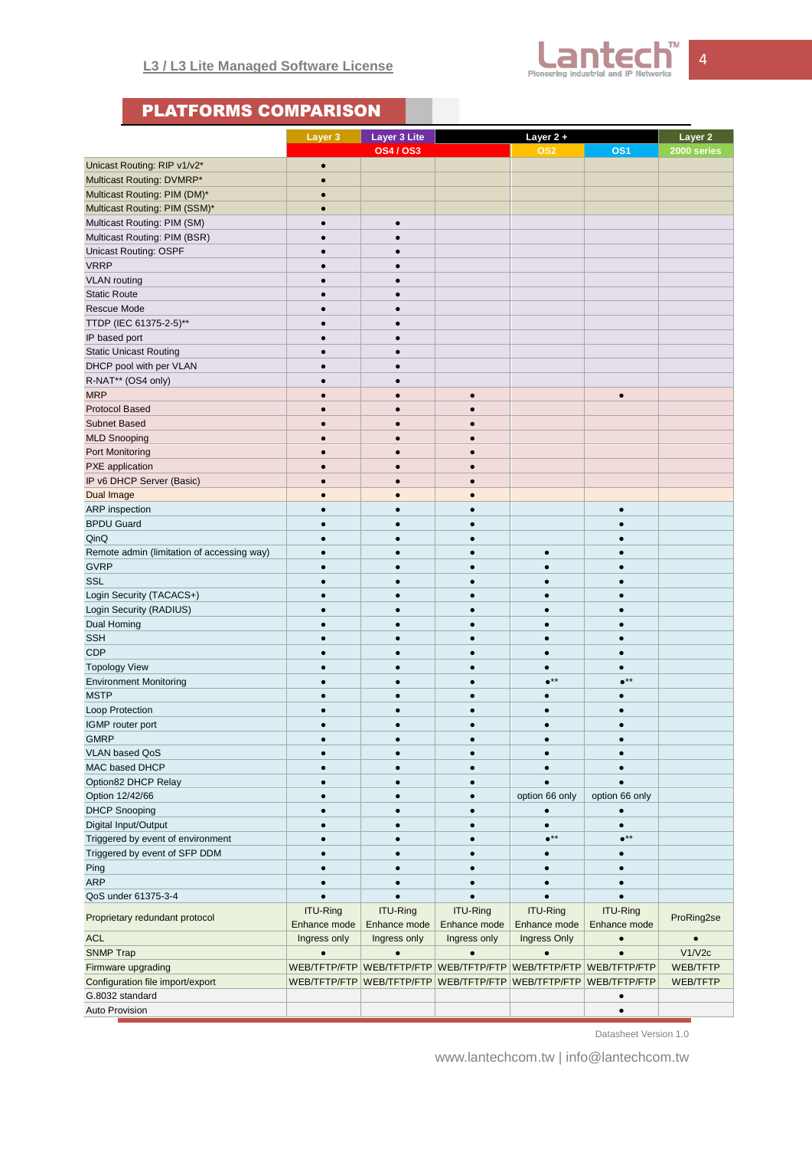

# PLATFORMS COMPARISON

|                                            | Layer 3                         | <b>Layer 3 Lite</b>             |                                 | Layer 2+                        |                                 |                        |
|--------------------------------------------|---------------------------------|---------------------------------|---------------------------------|---------------------------------|---------------------------------|------------------------|
|                                            |                                 | <b>OS4/OS3</b>                  |                                 | OS <sub>2</sub>                 | OS <sub>1</sub>                 | Layer 2<br>2000 series |
| Unicast Routing: RIP v1/v2*                | $\bullet$                       |                                 |                                 |                                 |                                 |                        |
| Multicast Routing: DVMRP*                  | $\bullet$                       |                                 |                                 |                                 |                                 |                        |
| Multicast Routing: PIM (DM)*               | $\bullet$                       |                                 |                                 |                                 |                                 |                        |
| Multicast Routing: PIM (SSM)*              | $\bullet$                       |                                 |                                 |                                 |                                 |                        |
|                                            |                                 |                                 |                                 |                                 |                                 |                        |
| Multicast Routing: PIM (SM)                | $\bullet$                       | $\bullet$                       |                                 |                                 |                                 |                        |
| Multicast Routing: PIM (BSR)               | $\bullet$                       | $\bullet$                       |                                 |                                 |                                 |                        |
| <b>Unicast Routing: OSPF</b>               | $\bullet$                       | $\bullet$                       |                                 |                                 |                                 |                        |
| <b>VRRP</b>                                | $\bullet$                       | $\bullet$                       |                                 |                                 |                                 |                        |
| <b>VLAN</b> routing                        | $\bullet$                       | ٠                               |                                 |                                 |                                 |                        |
| <b>Static Route</b>                        | $\bullet$                       | $\bullet$                       |                                 |                                 |                                 |                        |
| Rescue Mode                                | $\bullet$                       | $\bullet$                       |                                 |                                 |                                 |                        |
| TTDP (IEC 61375-2-5)**                     | $\bullet$                       | $\bullet$                       |                                 |                                 |                                 |                        |
| IP based port                              | $\bullet$                       | ٠                               |                                 |                                 |                                 |                        |
| <b>Static Unicast Routing</b>              | $\bullet$                       | $\bullet$                       |                                 |                                 |                                 |                        |
| DHCP pool with per VLAN                    | $\bullet$                       | $\bullet$                       |                                 |                                 |                                 |                        |
| R-NAT** (OS4 only)                         | $\bullet$                       | $\bullet$                       |                                 |                                 |                                 |                        |
| <b>MRP</b>                                 | $\bullet$                       | ٠                               | $\bullet$                       |                                 | $\bullet$                       |                        |
| <b>Protocol Based</b>                      | $\bullet$                       | $\bullet$                       | $\bullet$                       |                                 |                                 |                        |
| <b>Subnet Based</b>                        | $\bullet$                       | $\bullet$                       | $\bullet$                       |                                 |                                 |                        |
| <b>MLD Snooping</b>                        | $\bullet$                       | $\bullet$                       | $\bullet$                       |                                 |                                 |                        |
| Port Monitoring                            | $\bullet$                       | $\bullet$                       | $\bullet$                       |                                 |                                 |                        |
| <b>PXE</b> application                     | $\bullet$                       | $\bullet$                       | $\bullet$                       |                                 |                                 |                        |
| IP v6 DHCP Server (Basic)                  | $\bullet$                       | $\bullet$                       | $\bullet$                       |                                 |                                 |                        |
| Dual Image                                 | $\bullet$                       | $\bullet$                       | $\bullet$                       |                                 |                                 |                        |
| ARP inspection                             | $\bullet$                       | $\bullet$                       | $\bullet$                       |                                 | $\bullet$                       |                        |
| <b>BPDU Guard</b>                          | $\bullet$                       | $\bullet$                       | $\bullet$                       |                                 | $\bullet$                       |                        |
| QinQ                                       | $\bullet$                       | $\bullet$                       | $\bullet$                       |                                 | ٠                               |                        |
| Remote admin (limitation of accessing way) | $\bullet$                       | $\bullet$                       | $\bullet$                       | $\bullet$                       | $\bullet$                       |                        |
| <b>GVRP</b>                                | $\bullet$                       | $\bullet$                       | $\bullet$                       | $\bullet$                       | $\bullet$                       |                        |
| <b>SSL</b>                                 | $\bullet$                       | $\bullet$                       | $\bullet$                       | $\bullet$                       | $\bullet$                       |                        |
| Login Security (TACACS+)                   | $\bullet$                       | $\bullet$                       | $\bullet$                       | $\bullet$                       | $\bullet$                       |                        |
| Login Security (RADIUS)                    | $\bullet$                       | $\bullet$                       | $\bullet$                       | $\bullet$                       | $\bullet$                       |                        |
| Dual Homing                                | $\bullet$                       |                                 | $\bullet$                       | $\bullet$                       |                                 |                        |
| <b>SSH</b>                                 | $\bullet$                       | $\bullet$                       | $\bullet$                       | $\bullet$                       | $\bullet$                       |                        |
| <b>CDP</b>                                 | $\bullet$                       | ٠                               | $\bullet$                       | $\bullet$                       | $\bullet$                       |                        |
| <b>Topology View</b>                       | $\bullet$                       | $\bullet$                       | $\bullet$                       | $\bullet$                       | $\bullet$                       |                        |
|                                            | $\bullet$                       |                                 | $\bullet$                       | $\bullet^{\star\star}$          | $\bullet^{\star\star}$          |                        |
| <b>Environment Monitoring</b>              |                                 | $\bullet$                       |                                 |                                 |                                 |                        |
| <b>MSTP</b>                                | $\bullet$                       | $\bullet$                       | $\bullet$                       | $\bullet$                       | $\bullet$                       |                        |
| Loop Protection                            | $\bullet$                       |                                 | $\bullet$                       | $\bullet$                       |                                 |                        |
| IGMP router port                           | $\bullet$                       | $\bullet$                       | $\bullet$                       | $\bullet$                       | $\bullet$                       |                        |
| GMRP                                       |                                 |                                 |                                 |                                 |                                 |                        |
| VLAN based QoS                             | $\bullet$                       | $\bullet$                       | $\bullet$                       | $\bullet$                       |                                 |                        |
| MAC based DHCP                             | $\bullet$                       |                                 | $\bullet$                       | $\bullet$                       |                                 |                        |
| Option82 DHCP Relay                        | $\bullet$                       | $\bullet$                       | $\bullet$                       | $\bullet$                       |                                 |                        |
| Option 12/42/66                            |                                 |                                 | $\bullet$                       | option 66 only                  | option 66 only                  |                        |
| <b>DHCP Snooping</b>                       | $\bullet$                       | $\bullet$                       | $\bullet$                       | $\bullet$                       | $\bullet$                       |                        |
| Digital Input/Output                       | $\bullet$                       | $\bullet$                       | $\bullet$                       | $\bullet$                       | $\bullet$                       |                        |
| Triggered by event of environment          | $\bullet$                       |                                 | $\bullet$                       | $\bullet^{\star\star}$          | $\bullet^{\star\star}$          |                        |
| Triggered by event of SFP DDM              |                                 |                                 |                                 | $\bullet$                       |                                 |                        |
| Ping                                       | $\bullet$                       | $\bullet$                       | $\bullet$                       | $\bullet$                       | $\bullet$                       |                        |
| <b>ARP</b>                                 | $\bullet$                       | $\bullet$                       | $\bullet$                       | $\bullet$                       | $\bullet$                       |                        |
| QoS under 61375-3-4                        |                                 |                                 |                                 |                                 |                                 |                        |
| Proprietary redundant protocol             | <b>ITU-Ring</b><br>Enhance mode | <b>ITU-Ring</b><br>Enhance mode | <b>ITU-Ring</b><br>Enhance mode | <b>ITU-Ring</b><br>Enhance mode | <b>ITU-Ring</b><br>Enhance mode | ProRing2se             |
| <b>ACL</b>                                 | Ingress only                    | Ingress only                    | Ingress only                    | Ingress Only                    | $\bullet$                       | $\bullet$              |
| <b>SNMP Trap</b>                           | $\bullet$                       | $\bullet$                       | $\bullet$                       | $\bullet$                       |                                 | V1/V2c                 |
| Firmware upgrading                         |                                 | WEB/TFTP/FTP WEB/TFTP/FTP       | WEB/TFTP/FTP                    |                                 | WEB/TFTP/FTP   WEB/TFTP/FTP     | WEB/TFTP               |
| Configuration file import/export           | WEB/TFTP/FTP                    | WEB/TFTP/FTP                    | WEB/TFTP/FTP                    | WEB/TFTP/FTP                    | WEB/TFTP/FTP                    | WEB/TFTP               |
| G.8032 standard                            |                                 |                                 |                                 |                                 | $\bullet$                       |                        |
| Auto Provision                             |                                 |                                 |                                 |                                 | $\bullet$                       |                        |

Datasheet Version 1.0

www.lantechcom.tw | info@lantechcom.tw